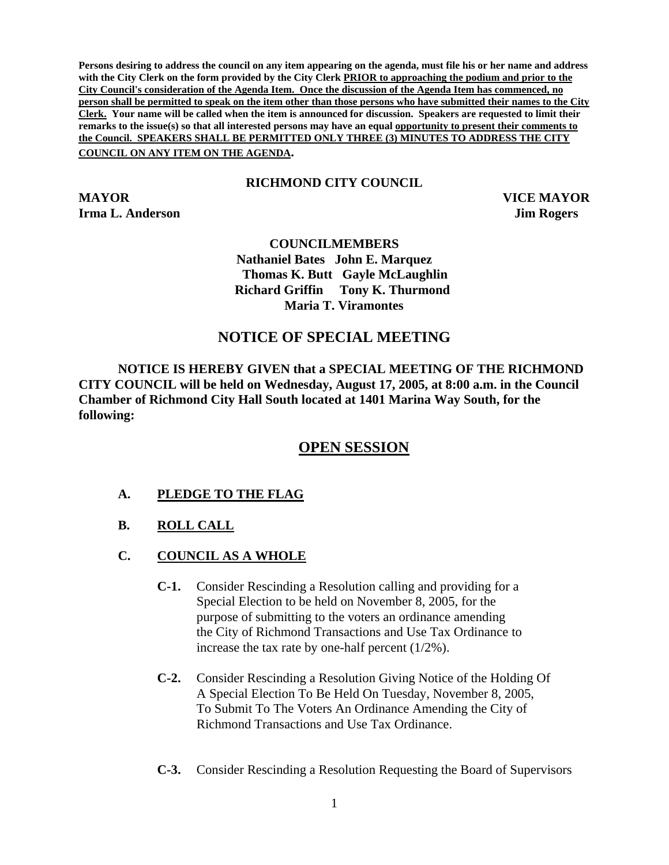**Persons desiring to address the council on any item appearing on the agenda, must file his or her name and address with the City Clerk on the form provided by the City Clerk PRIOR to approaching the podium and prior to the City Council's consideration of the Agenda Item. Once the discussion of the Agenda Item has commenced, no person shall be permitted to speak on the item other than those persons who have submitted their names to the City Clerk. Your name will be called when the item is announced for discussion. Speakers are requested to limit their remarks to the issue(s) so that all interested persons may have an equal opportunity to present their comments to the Council. SPEAKERS SHALL BE PERMITTED ONLY THREE (3) MINUTES TO ADDRESS THE CITY COUNCIL ON ANY ITEM ON THE AGENDA.** 

## **RICHMOND CITY COUNCIL**

**MAYOR VICE MAYOR Irma L. Anderson Jim Rogers Jim Rogers** 

## **COUNCILMEMBERS Nathaniel Bates John E. Marquez Thomas K. Butt Gayle McLaughlin Richard Griffin Tony K. Thurmond Maria T. Viramontes**

## **NOTICE OF SPECIAL MEETING**

**NOTICE IS HEREBY GIVEN that a SPECIAL MEETING OF THE RICHMOND CITY COUNCIL will be held on Wednesday, August 17, 2005, at 8:00 a.m. in the Council Chamber of Richmond City Hall South located at 1401 Marina Way South, for the following:** 

## **OPEN SESSION**

- **A. PLEDGE TO THE FLAG**
- **B. ROLL CALL**
- **C. COUNCIL AS A WHOLE**
	- **C-1.** Consider Rescinding a Resolution calling and providing for a Special Election to be held on November 8, 2005, for the purpose of submitting to the voters an ordinance amending the City of Richmond Transactions and Use Tax Ordinance to increase the tax rate by one-half percent (1/2%).
	- **C-2.** Consider Rescinding a Resolution Giving Notice of the Holding Of A Special Election To Be Held On Tuesday, November 8, 2005, To Submit To The Voters An Ordinance Amending the City of Richmond Transactions and Use Tax Ordinance.
	- **C-3.** Consider Rescinding a Resolution Requesting the Board of Supervisors